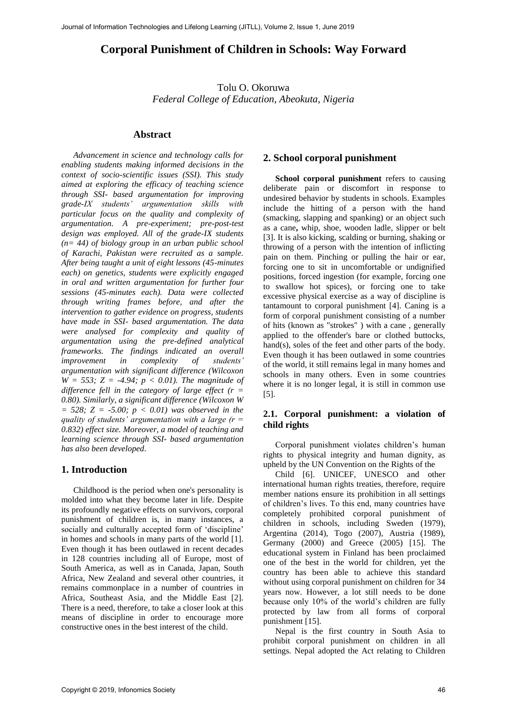# **Corporal Punishment of Children in Schools: Way Forward**

Tolu O. Okoruwa *Federal College of Education, Abeokuta, Nigeria* 

#### **Abstract**

*Advancement in science and technology calls for enabling students making informed decisions in the context of socio-scientific issues (SSI). This study aimed at exploring the efficacy of teaching science through SSI- based argumentation for improving grade-IX students' argumentation skills with particular focus on the quality and complexity of argumentation. A pre-experiment; pre-post-test design was employed. All of the grade-IX students (n= 44) of biology group in an urban public school of Karachi, Pakistan were recruited as a sample. After being taught a unit of eight lessons (45-minutes each) on genetics, students were explicitly engaged in oral and written argumentation for further four sessions (45-minutes each). Data were collected through writing frames before, and after the intervention to gather evidence on progress, students have made in SSI- based argumentation. The data were analysed for complexity and quality of argumentation using the pre-defined analytical frameworks. The findings indicated an overall improvement in complexity of students' argumentation with significant difference (Wilcoxon W* = 553; *Z* = -4.94; *p* < 0.01). The magnitude of *difference fell in the category of large effect (r = 0.80). Similarly, a significant difference (Wilcoxon W = 528; Z = -5.00; p < 0.01) was observed in the quality of students' argumentation with a large (r = 0.832) effect size. Moreover, a model of teaching and learning science through SSI- based argumentation has also been developed.*

#### **1. Introduction**

Childhood is the period when one's personality is molded into what they become later in life. Despite its profoundly negative effects on survivors, corporal punishment of children is, in many instances, a socially and culturally accepted form of 'discipline' in homes and schools in many parts of the world [1]. Even though it has been outlawed in recent decades in 128 countries including all of Europe, most of South America, as well as in Canada, Japan, South Africa, New Zealand and several other countries, it remains commonplace in a number of countries in Africa, Southeast Asia, and the Middle East [2]. There is a need, therefore, to take a closer look at this means of discipline in order to encourage more constructive ones in the best interest of the child.

#### **2. School corporal punishment**

**School corporal punishment** refers to causing deliberate pain or discomfort in response to undesired behavior by students in schools. Examples include the hitting of a person with the hand (smacking, slapping and spanking) or an object such as a cane**,** whip, shoe, wooden ladle, slipper or belt [3]. It is also kicking, scalding or burning, shaking or throwing of a person with the intention of inflicting pain on them. Pinching or pulling the hair or ear, forcing one to sit in uncomfortable or undignified positions, forced ingestion (for example, forcing one to swallow hot spices), or forcing one to take excessive physical exercise as a way of discipline is tantamount to corporal punishment [4]. Caning is a form of corporal punishment consisting of a number of hits (known as "strokes" ) with a cane , generally applied to the offender's bare or clothed buttocks, hand(s), soles of the feet and other parts of the body. Even though it has been outlawed in some countries of the world, it still remains legal in many homes and schools in many others. Even in some countries where it is no longer legal, it is still in common use [5].

#### **2.1. Corporal punishment: a violation of child rights**

Corporal punishment violates children's human rights to physical integrity and human dignity, as upheld by the UN Convention on the Rights of the

Child [6]. UNICEF, UNESCO and other international human rights treaties, therefore, require member nations ensure its prohibition in all settings of children's lives. To this end, many countries have completely prohibited corporal punishment of children in schools, including Sweden (1979), Argentina (2014), Togo (2007), Austria (1989), Germany (2000) and Greece (2005) [15]. The educational system in Finland has been proclaimed one of the best in the world for children, yet the country has been able to achieve this standard without using corporal punishment on children for 34 years now. However, a lot still needs to be done because only 10% of the world's children are fully protected by law from all forms of corporal punishment [15].

Nepal is the first country in South Asia to prohibit corporal punishment on children in all settings. Nepal adopted the Act relating to Children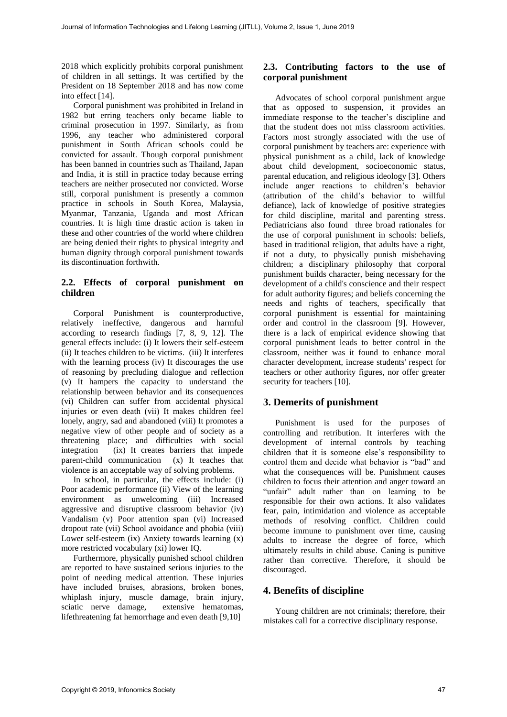2018 which explicitly prohibits corporal punishment of children in all settings. It was certified by the President on 18 September 2018 and has now come into effect [14].

Corporal punishment was prohibited in Ireland in 1982 but erring teachers only became liable to criminal prosecution in 1997. Similarly, as from 1996, any teacher who administered corporal punishment in South African schools could be convicted for assault. Though corporal punishment has been banned in countries such as Thailand, Japan and India, it is still in practice today because erring teachers are neither prosecuted nor convicted. Worse still, corporal punishment is presently a common practice in schools in South Korea, Malaysia, Myanmar, Tanzania, Uganda and most African countries. It is high time drastic action is taken in these and other countries of the world where children are being denied their rights to physical integrity and human dignity through corporal punishment towards its discontinuation forthwith.

#### **2.2. Effects of corporal punishment on children**

Corporal Punishment is counterproductive, relatively ineffective, dangerous and harmful according to research findings [7, 8, 9, 12]. The general effects include: (i) It lowers their self-esteem (ii) It teaches children to be victims. (iii) It interferes with the learning process (iv) It discourages the use of reasoning by precluding dialogue and reflection (v) It hampers the capacity to understand the relationship between behavior and its consequences (vi) Children can suffer from accidental physical injuries or even death (vii) It makes children feel lonely, angry, sad and abandoned (viii) It promotes a negative view of other people and of society as a threatening place; and difficulties with social integration (ix) It creates barriers that impede parent-child communication (x) It teaches that violence is an acceptable way of solving problems.

In school, in particular, the effects include: (i) Poor academic performance (ii) View of the learning environment as unwelcoming (iii) Increased aggressive and disruptive classroom behavior (iv) Vandalism (v) Poor attention span (vi) Increased dropout rate (vii) School avoidance and phobia (viii) Lower self-esteem (ix) Anxiety towards learning (x) more restricted vocabulary (xi) lower IQ.

Furthermore, physically punished school children are reported to have sustained serious injuries to the point of needing medical attention. These injuries have included bruises, abrasions, broken bones, whiplash injury, muscle damage, brain injury, sciatic nerve damage, extensive hematomas, lifethreatening fat hemorrhage and even death [9,10]

#### **2.3. Contributing factors to the use of corporal punishment**

Advocates of school corporal punishment argue that as opposed to suspension, it provides an immediate response to the teacher's discipline and that the student does not miss classroom activities. Factors most strongly associated with the use of corporal punishment by teachers are: experience with physical punishment as a child, lack of knowledge about child development, socioeconomic status, parental education, and religious ideology [3]. Others include anger reactions to children's behavior (attribution of the child's behavior to willful defiance), lack of knowledge of positive strategies for child discipline, marital and parenting stress. Pediatricians also found three broad rationales for the use of corporal punishment in schools: beliefs, based in traditional religion, that adults have a right, if not a duty, to physically punish misbehaving children; a disciplinary philosophy that corporal punishment builds character, being necessary for the development of a child's conscience and their respect for adult authority figures; and beliefs concerning the needs and rights of teachers, specifically that corporal punishment is essential for maintaining order and control in the classroom [9]. However, there is a lack of empirical evidence showing that corporal punishment leads to better control in the classroom, neither was it found to enhance moral character development, increase students' respect for teachers or other authority figures, nor offer greater security for teachers [10].

### **3. Demerits of punishment**

Punishment is used for the purposes of controlling and retribution. It interferes with the development of internal controls by teaching children that it is someone else's responsibility to control them and decide what behavior is "bad" and what the consequences will be. Punishment causes children to focus their attention and anger toward an "unfair" adult rather than on learning to be responsible for their own actions. It also validates fear, pain, intimidation and violence as acceptable methods of resolving conflict. Children could become immune to punishment over time, causing adults to increase the degree of force, which ultimately results in child abuse. Caning is punitive rather than corrective. Therefore, it should be discouraged.

### **4. Benefits of discipline**

Young children are not criminals; therefore, their mistakes call for a corrective disciplinary response.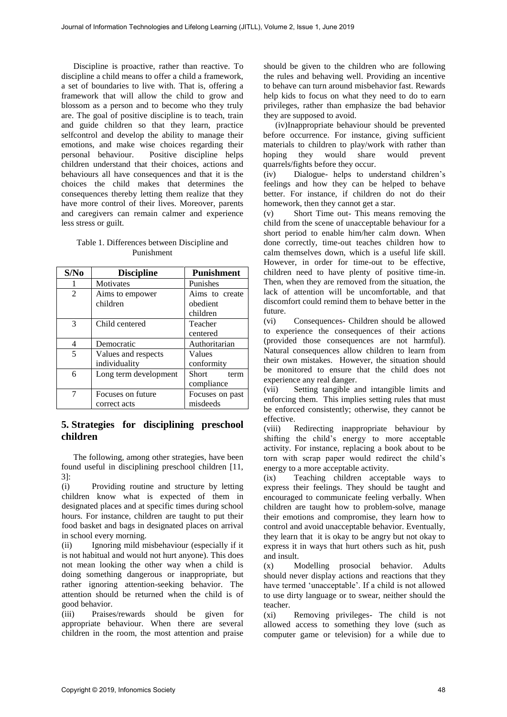Discipline is proactive, rather than reactive. To discipline a child means to offer a child a framework, a set of boundaries to live with. That is, offering a framework that will allow the child to grow and blossom as a person and to become who they truly are. The goal of positive discipline is to teach, train and guide children so that they learn, practice selfcontrol and develop the ability to manage their emotions, and make wise choices regarding their<br>personal behaviour. Positive discipline helps Positive discipline helps children understand that their choices, actions and behaviours all have consequences and that it is the choices the child makes that determines the consequences thereby letting them realize that they have more control of their lives. Moreover, parents and caregivers can remain calmer and experience less stress or guilt.

#### Table 1. Differences between Discipline and Punishment

| S/No           | <b>Discipline</b>                    | <b>Punishment</b>                      |
|----------------|--------------------------------------|----------------------------------------|
|                | <b>Motivates</b>                     | Punishes                               |
| $\overline{2}$ | Aims to empower<br>children          | Aims to create<br>obedient<br>children |
| 3              | Child centered                       | Teacher<br>centered                    |
| 4              | Democratic                           | Authoritarian                          |
| 5              | Values and respects<br>individuality | Values<br>conformity                   |
| 6              | Long term development                | Short<br>term<br>compliance            |
| 7              | Focuses on future<br>correct acts    | Focuses on past<br>misdeeds            |

## **5. Strategies for disciplining preschool children**

The following, among other strategies, have been found useful in disciplining preschool children [11, 3]:

(i) Providing routine and structure by letting children know what is expected of them in designated places and at specific times during school hours. For instance, children are taught to put their food basket and bags in designated places on arrival in school every morning.

(ii) Ignoring mild misbehaviour (especially if it is not habitual and would not hurt anyone). This does not mean looking the other way when a child is doing something dangerous or inappropriate, but rather ignoring attention-seeking behavior. The attention should be returned when the child is of good behavior.

(iii) Praises/rewards should be given for appropriate behaviour. When there are several children in the room, the most attention and praise should be given to the children who are following the rules and behaving well. Providing an incentive to behave can turn around misbehavior fast. Rewards help kids to focus on what they need to do to earn privileges, rather than emphasize the bad behavior they are supposed to avoid.

(iv)Inappropriate behaviour should be prevented before occurrence. For instance, giving sufficient materials to children to play/work with rather than<br>hoping they would share would prevent hoping they would share would prevent quarrels/fights before they occur.

(iv) Dialogue- helps to understand children's feelings and how they can be helped to behave better. For instance, if children do not do their homework, then they cannot get a star.

(v) Short Time out- This means removing the child from the scene of unacceptable behaviour for a short period to enable him/her calm down. When done correctly, time-out teaches children how to calm themselves down, which is a useful life skill. However, in order for time-out to be effective, children need to have plenty of positive time-in. Then, when they are removed from the situation, the lack of attention will be uncomfortable, and that discomfort could remind them to behave better in the future.

(vi) Consequences- Children should be allowed to experience the consequences of their actions (provided those consequences are not harmful). Natural consequences allow children to learn from their own mistakes. However, the situation should be monitored to ensure that the child does not experience any real danger.

(vii) Setting tangible and intangible limits and enforcing them. This implies setting rules that must be enforced consistently; otherwise, they cannot be effective.

(viii) Redirecting inappropriate behaviour by shifting the child's energy to more acceptable activity. For instance, replacing a book about to be torn with scrap paper would redirect the child's energy to a more acceptable activity.

(ix) Teaching children acceptable ways to express their feelings. They should be taught and encouraged to communicate feeling verbally. When children are taught how to problem-solve, manage their emotions and compromise, they learn how to control and avoid unacceptable behavior. Eventually, they learn that it is okay to be angry but not okay to express it in ways that hurt others such as hit, push and insult.

(x) Modelling prosocial behavior. Adults should never display actions and reactions that they have termed 'unacceptable'. If a child is not allowed to use dirty language or to swear, neither should the teacher.

(xi) Removing privileges- The child is not allowed access to something they love (such as computer game or television) for a while due to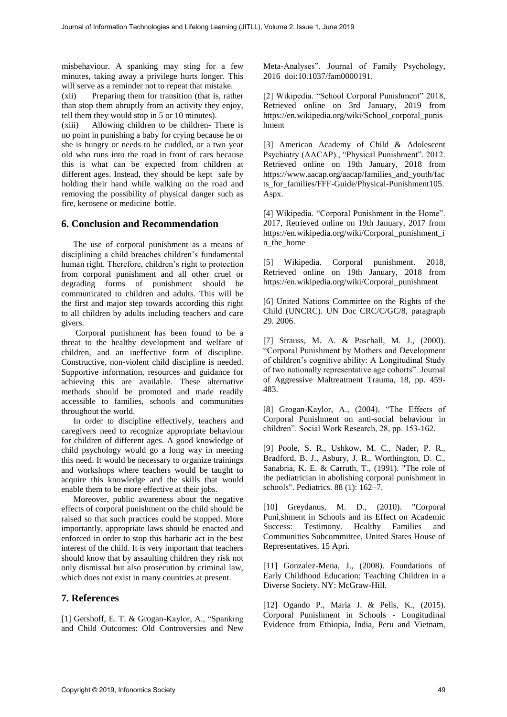misbehaviour. A spanking may sting for a few minutes, taking away a privilege hurts longer. This will serve as a reminder not to repeat that mistake.

(xii) Preparing them for transition (that is, rather than stop them abruptly from an activity they enjoy, tell them they would stop in 5 or 10 minutes).

(xiii) Allowing children to be children- There is no point in punishing a baby for crying because he or she is hungry or needs to be cuddled, or a two year old who runs into the road in front of cars because this is what can be expected from children at different ages. Instead, they should be kept safe by holding their hand while walking on the road and removing the possibility of physical danger such as fire, kerosene or medicine bottle.

### **6. Conclusion and Recommendation**

The use of corporal punishment as a means of disciplining a child breaches children's fundamental human right. Therefore, children's right to protection from corporal punishment and all other cruel or degrading forms of punishment should be communicated to children and adults. This will be the first and major step towards according this right to all children by adults including teachers and care givers.

Corporal punishment has been found to be a threat to the healthy development and welfare of children, and an ineffective form of discipline. Constructive, non-violent child discipline is needed. Supportive information, resources and guidance for achieving this are available. These alternative methods should be promoted and made readily accessible to families, schools and communities throughout the world.

In order to discipline effectively, teachers and caregivers need to recognize appropriate behaviour for children of different ages. A good knowledge of child psychology would go a long way in meeting this need. It would be necessary to organize trainings and workshops where teachers would be taught to acquire this knowledge and the skills that would enable them to be more effective at their jobs.

Moreover, public awareness about the negative effects of corporal punishment on the child should be raised so that such practices could be stopped. More importantly, appropriate laws should be enacted and enforced in order to stop this barbaric act in the best interest of the child. It is very important that teachers should know that by assaulting children they risk not only dismissal but also prosecution by criminal law, which does not exist in many countries at present.

### **7. References**

[1] Gershoff, E. T. & Grogan-Kaylor, A., "Spanking and Child Outcomes: Old Controversies and New

Meta-Analyses". Journal of Family Psychology, 2016 doi:10.1037/fam0000191.

[2] Wikipedia. "School Corporal Punishment" 2018, Retrieved online on 3rd January, 2019 from https://en.wikipedia.org/wiki/School\_corporal\_punis hment

[3] American Academy of Child & Adolescent Psychiatry (AACAP)., "Physical Punishment". 2012. Retrieved online on 19th January, 2018 from https://www.aacap.org/aacap/families\_and\_youth/fac ts\_for\_families/FFF-Guide/Physical-Punishment105. Aspx.

[4] Wikipedia. "Corporal Punishment in the Home". 2017, Retrieved online on 19th January, 2017 from https://en.wikipedia.org/wiki/Corporal\_punishment\_i n\_the\_home

[5] Wikipedia. Corporal punishment. 2018, Retrieved online on 19th January, 2018 from https://en.wikipedia.org/wiki/Corporal\_punishment

[6] United Nations Committee on the Rights of the Child (UNCRC). UN Doc CRC/C/GC/8, paragraph 29. 2006.

[7] Strauss, M. A. & Paschall, M. J., (2000). "Corporal Punishment by Mothers and Development of children's cognitive ability: A Longitudinal Study of two nationally representative age cohorts". Journal of Aggressive Maltreatment Trauma, 18, pp. 459- 483.

[8] Grogan-Kaylor, A., (2004). "The Effects of Corporal Punishment on anti-social behaviour in children". Social Work Research, 28, pp. 153-162.

[9] Poole, S. R., Ushkow, M. C., Nader, P. R., Bradford, B. J., Asbury, J. R., Worthington, D. C., Sanabria, K. E. & Carruth, T., (1991). "The role of the pediatrician in abolishing corporal punishment in schools". Pediatrics. 88 (1): 162–7.

[10] Greydanus, M. D., (2010). "Corporal Puni,shment in Schools and its Effect on Academic Success: Testimony. Healthy Families and Communities Subcommittee, United States House of Representatives. 15 Apri.

[11] Gonzalez-Mena, J., (2008). Foundations of Early Childhood Education: Teaching Children in a Diverse Society. NY: McGraw-Hill.

[12] Ogando P., Maria J. & Pells, K., (2015). Corporal Punishment in Schools - Longitudinal Evidence from Ethiopia, India, Peru and Vietnam,